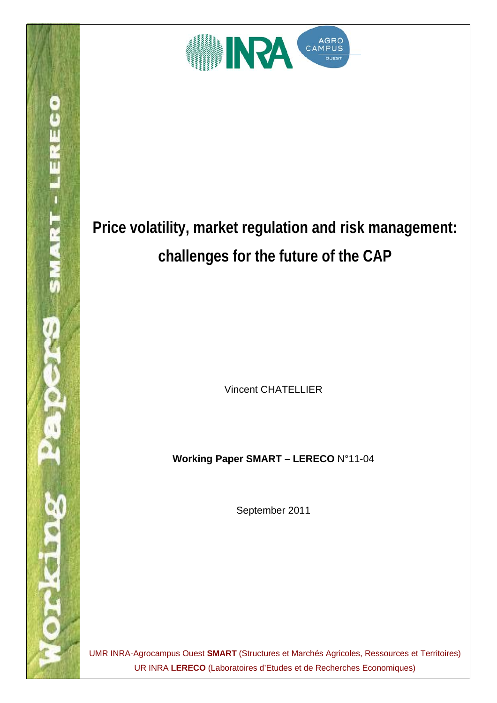

**SMART-LERECO** 

Vincent CHATELLIER

**Working Paper SMART – LERECO** N°11-04

September 2011

UMR INRA-Agrocampus Ouest **SMART** (Structures et Marchés Agricoles, Ressources et Territoires) UR INRA **LERECO** (Laboratoires d'Etudes et de Recherches Economiques)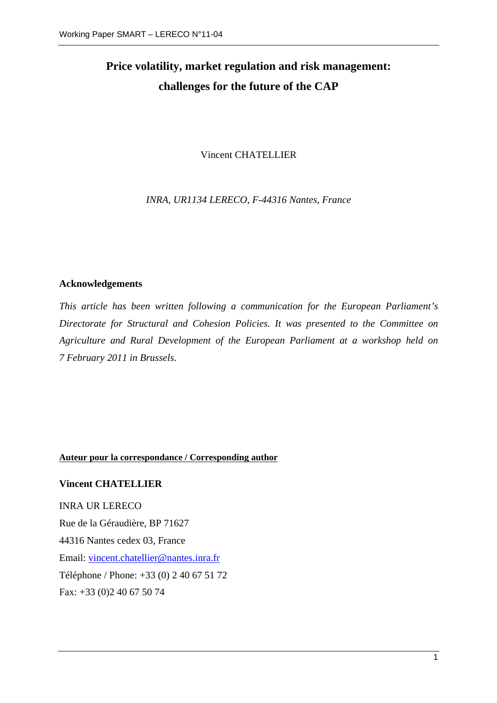Vincent CHATELLIER

*INRA, UR1134 LERECO, F-44316 Nantes, France* 

## **Acknowledgements**

*This article has been written following a communication for the European Parliament's Directorate for Structural and Cohesion Policies. It was presented to the Committee on Agriculture and Rural Development of the European Parliament at a workshop held on 7 February 2011 in Brussels*.

#### **Auteur pour la correspondance / Corresponding author**

#### **Vincent CHATELLIER**

INRA UR LERECO Rue de la Géraudière, BP 71627 44316 Nantes cedex 03, France Email: [vincent.chatellier@nantes.inra.fr](mailto:vincent.chatellier@nantes.inra.fr) Téléphone / Phone: +33 (0) 2 40 67 51 72 Fax: +33 (0)2 40 67 50 74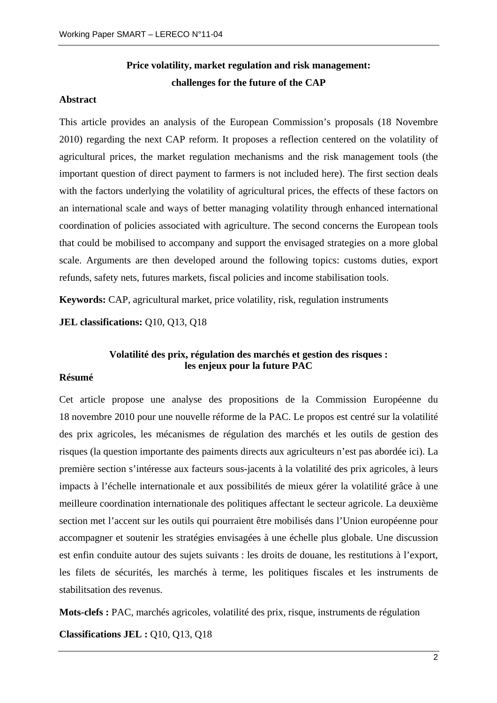#### **Abstract**

This article provides an analysis of the European Commission's proposals (18 Novembre 2010) regarding the next CAP reform. It proposes a reflection centered on the volatility of agricultural prices, the market regulation mechanisms and the risk management tools (the important question of direct payment to farmers is not included here). The first section deals with the factors underlying the volatility of agricultural prices, the effects of these factors on an international scale and ways of better managing volatility through enhanced international coordination of policies associated with agriculture. The second concerns the European tools that could be mobilised to accompany and support the envisaged strategies on a more global scale. Arguments are then developed around the following topics: customs duties, export refunds, safety nets, futures markets, fiscal policies and income stabilisation tools.

**Keywords:** CAP, agricultural market, price volatility, risk, regulation instruments

**JEL classifications:** Q10, Q13, Q18

# **Volatilité des prix, régulation des marchés et gestion des risques : les enjeux pour la future PAC**

#### **Résumé**

Cet article propose une analyse des propositions de la Commission Européenne du 18 novembre 2010 pour une nouvelle réforme de la PAC. Le propos est centré sur la volatilité des prix agricoles, les mécanismes de régulation des marchés et les outils de gestion des risques (la question importante des paiments directs aux agriculteurs n'est pas abordée ici). La première section s'intéresse aux facteurs sous-jacents à la volatilité des prix agricoles, à leurs impacts à l'échelle internationale et aux possibilités de mieux gérer la volatilité grâce à une meilleure coordination internationale des politiques affectant le secteur agricole. La deuxième section met l'accent sur les outils qui pourraient être mobilisés dans l'Union européenne pour accompagner et soutenir les stratégies envisagées à une échelle plus globale. Une discussion est enfin conduite autour des sujets suivants : les droits de douane, les restitutions à l'export, les filets de sécurités, les marchés à terme, les politiques fiscales et les instruments de stabilitsation des revenus.

**Mots-clefs :** PAC, marchés agricoles, volatilité des prix, risque, instruments de régulation

**Classifications JEL :** Q10, Q13, Q18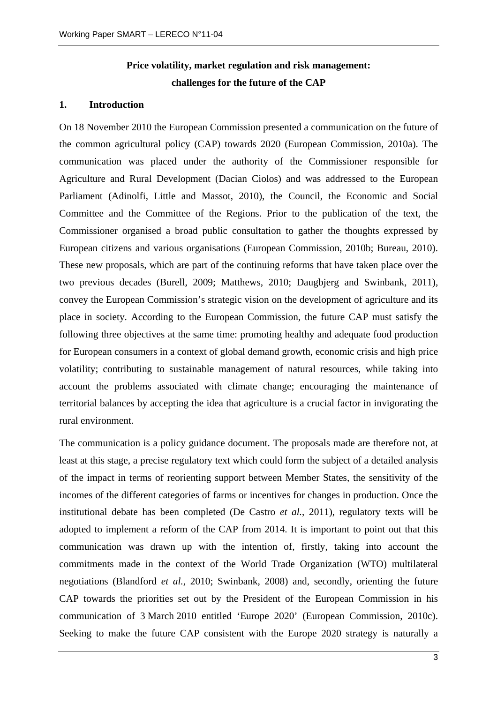#### **1. Introduction**

On 18 November 2010 the European Commission presented a communication on the future of the common agricultural policy (CAP) towards 2020 (European Commission, 2010a). The communication was placed under the authority of the Commissioner responsible for Agriculture and Rural Development (Dacian Ciolos) and was addressed to the European Parliament (Adinolfi, Little and Massot, 2010), the Council, the Economic and Social Committee and the Committee of the Regions. Prior to the publication of the text, the Commissioner organised a broad public consultation to gather the thoughts expressed by European citizens and various organisations (European Commission, 2010b; Bureau, 2010). These new proposals, which are part of the continuing reforms that have taken place over the two previous decades (Burell, 2009; Matthews, 2010; Daugbjerg and Swinbank, 2011), convey the European Commission's strategic vision on the development of agriculture and its place in society. According to the European Commission, the future CAP must satisfy the following three objectives at the same time: promoting healthy and adequate food production for European consumers in a context of global demand growth, economic crisis and high price volatility; contributing to sustainable management of natural resources, while taking into account the problems associated with climate change; encouraging the maintenance of territorial balances by accepting the idea that agriculture is a crucial factor in invigorating the rural environment.

The communication is a policy guidance document. The proposals made are therefore not, at least at this stage, a precise regulatory text which could form the subject of a detailed analysis of the impact in terms of reorienting support between Member States, the sensitivity of the incomes of the different categories of farms or incentives for changes in production. Once the institutional debate has been completed (De Castro *et al.*, 2011), regulatory texts will be adopted to implement a reform of the CAP from 2014. It is important to point out that this communication was drawn up with the intention of, firstly, taking into account the commitments made in the context of the World Trade Organization (WTO) multilateral negotiations (Blandford *et al.*, 2010; Swinbank, 2008) and, secondly, orienting the future CAP towards the priorities set out by the President of the European Commission in his communication of 3 March 2010 entitled 'Europe 2020' (European Commission, 2010c). Seeking to make the future CAP consistent with the Europe 2020 strategy is naturally a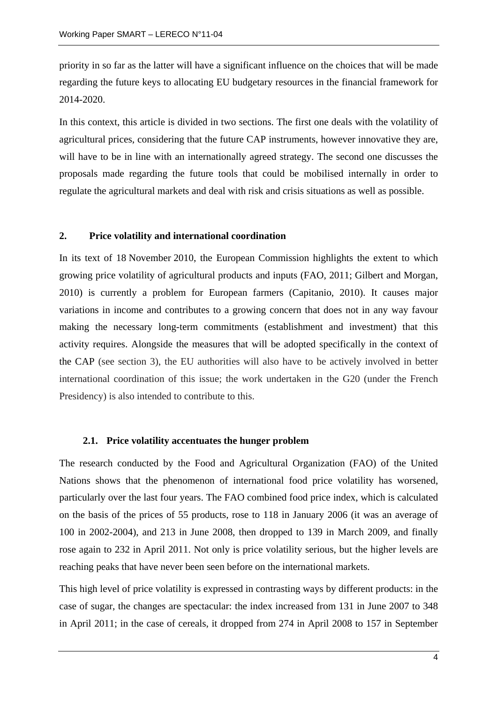priority in so far as the latter will have a significant influence on the choices that will be made regarding the future keys to allocating EU budgetary resources in the financial framework for 2014-2020.

In this context, this article is divided in two sections. The first one deals with the volatility of agricultural prices, considering that the future CAP instruments, however innovative they are, will have to be in line with an internationally agreed strategy. The second one discusses the proposals made regarding the future tools that could be mobilised internally in order to regulate the agricultural markets and deal with risk and crisis situations as well as possible.

#### **2. Price volatility and international coordination**

In its text of 18 November 2010, the European Commission highlights the extent to which growing price volatility of agricultural products and inputs (FAO, 2011; Gilbert and Morgan, 2010) is currently a problem for European farmers (Capitanio, 2010). It causes major variations in income and contributes to a growing concern that does not in any way favour making the necessary long-term commitments (establishment and investment) that this activity requires. Alongside the measures that will be adopted specifically in the context of the CAP (see section 3), the EU authorities will also have to be actively involved in better international coordination of this issue; the work undertaken in the G20 (under the French Presidency) is also intended to contribute to this.

#### **2.1. Price volatility accentuates the hunger problem**

The research conducted by the Food and Agricultural Organization (FAO) of the United Nations shows that the phenomenon of international food price volatility has worsened, particularly over the last four years. The FAO combined food price index, which is calculated on the basis of the prices of 55 products, rose to 118 in January 2006 (it was an average of 100 in 2002-2004), and 213 in June 2008, then dropped to 139 in March 2009, and finally rose again to 232 in April 2011. Not only is price volatility serious, but the higher levels are reaching peaks that have never been seen before on the international markets.

This high level of price volatility is expressed in contrasting ways by different products: in the case of sugar, the changes are spectacular: the index increased from 131 in June 2007 to 348 in April 2011; in the case of cereals, it dropped from 274 in April 2008 to 157 in September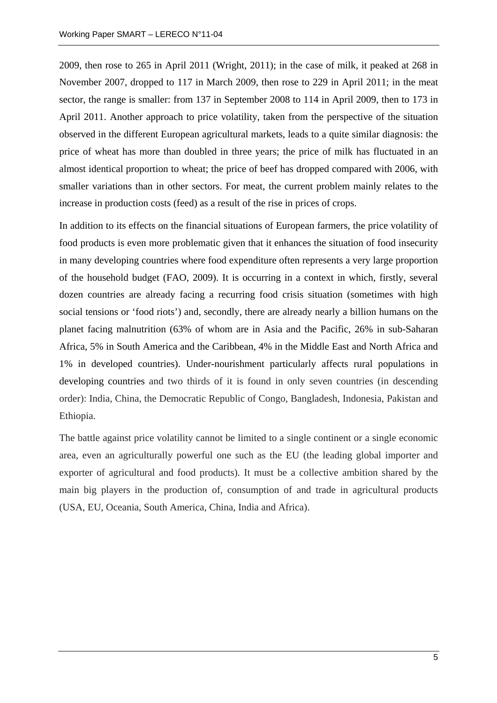2009, then rose to 265 in April 2011 (Wright, 2011); in the case of milk, it peaked at 268 in November 2007, dropped to 117 in March 2009, then rose to 229 in April 2011; in the meat sector, the range is smaller: from 137 in September 2008 to 114 in April 2009, then to 173 in April 2011. Another approach to price volatility, taken from the perspective of the situation observed in the different European agricultural markets, leads to a quite similar diagnosis: the price of wheat has more than doubled in three years; the price of milk has fluctuated in an almost identical proportion to wheat; the price of beef has dropped compared with 2006, with smaller variations than in other sectors. For meat, the current problem mainly relates to the increase in production costs (feed) as a result of the rise in prices of crops.

In addition to its effects on the financial situations of European farmers, the price volatility of food products is even more problematic given that it enhances the situation of food insecurity in many developing countries where food expenditure often represents a very large proportion of the household budget (FAO, 2009). It is occurring in a context in which, firstly, several dozen countries are already facing a recurring food crisis situation (sometimes with high social tensions or 'food riots') and, secondly, there are already nearly a billion humans on the planet facing malnutrition (63% of whom are in Asia and the Pacific, 26% in sub-Saharan Africa, 5% in South America and the Caribbean, 4% in the Middle East and North Africa and 1% in developed countries). Under-nourishment particularly affects rural populations in developing countries and two thirds of it is found in only seven countries (in descending order): India, China, the Democratic Republic of Congo, Bangladesh, Indonesia, Pakistan and Ethiopia.

The battle against price volatility cannot be limited to a single continent or a single economic area, even an agriculturally powerful one such as the EU (the leading global importer and exporter of agricultural and food products). It must be a collective ambition shared by the main big players in the production of, consumption of and trade in agricultural products (USA, EU, Oceania, South America, China, India and Africa).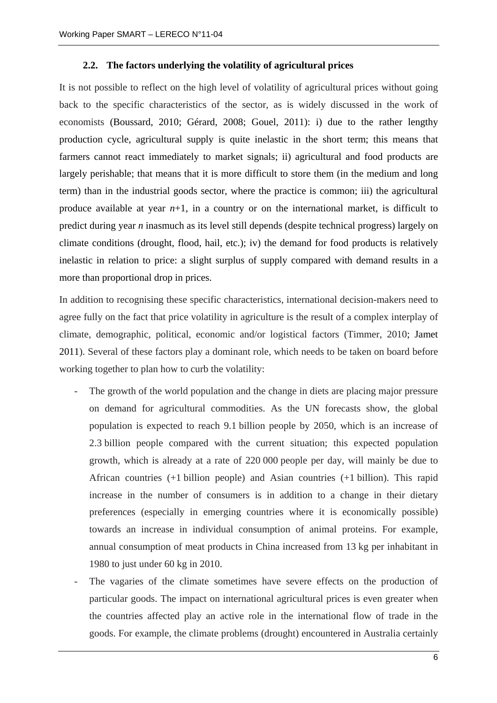#### **2.2. The factors underlying the volatility of agricultural prices**

It is not possible to reflect on the high level of volatility of agricultural prices without going back to the specific characteristics of the sector, as is widely discussed in the work of economists (Boussard, 2010; Gérard, 2008; Gouel, 2011): i) due to the rather lengthy production cycle, agricultural supply is quite inelastic in the short term; this means that farmers cannot react immediately to market signals; ii) agricultural and food products are largely perishable; that means that it is more difficult to store them (in the medium and long term) than in the industrial goods sector, where the practice is common; iii) the agricultural produce available at year  $n+1$ , in a country or on the international market, is difficult to predict during year *n* inasmuch as its level still depends (despite technical progress) largely on climate conditions (drought, flood, hail, etc.); iv) the demand for food products is relatively inelastic in relation to price: a slight surplus of supply compared with demand results in a more than proportional drop in prices.

In addition to recognising these specific characteristics, international decision-makers need to agree fully on the fact that price volatility in agriculture is the result of a complex interplay of climate, demographic, political, economic and/or logistical factors (Timmer, 2010; Jamet 2011). Several of these factors play a dominant role, which needs to be taken on board before working together to plan how to curb the volatility:

- The growth of the world population and the change in diets are placing major pressure on demand for agricultural commodities. As the UN forecasts show, the global population is expected to reach 9.1 billion people by 2050, which is an increase of 2.3 billion people compared with the current situation; this expected population growth, which is already at a rate of 220 000 people per day, will mainly be due to African countries (+1 billion people) and Asian countries (+1 billion). This rapid increase in the number of consumers is in addition to a change in their dietary preferences (especially in emerging countries where it is economically possible) towards an increase in individual consumption of animal proteins. For example, annual consumption of meat products in China increased from 13 kg per inhabitant in 1980 to just under 60 kg in 2010.
- The vagaries of the climate sometimes have severe effects on the production of particular goods. The impact on international agricultural prices is even greater when the countries affected play an active role in the international flow of trade in the goods. For example, the climate problems (drought) encountered in Australia certainly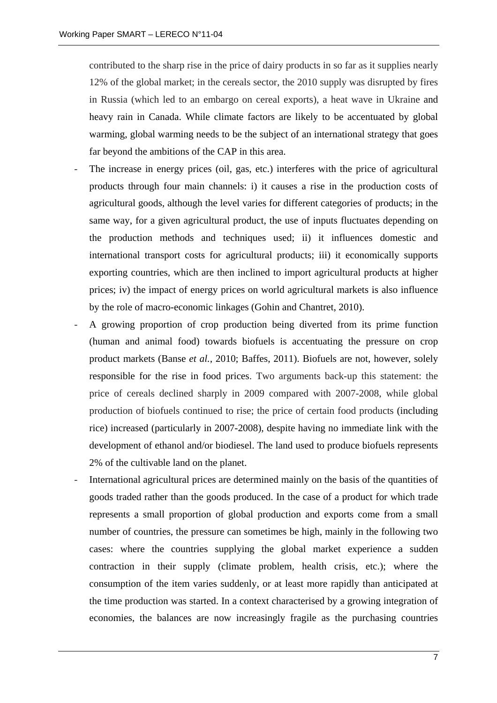contributed to the sharp rise in the price of dairy products in so far as it supplies nearly 12% of the global market; in the cereals sector, the 2010 supply was disrupted by fires in Russia (which led to an embargo on cereal exports), a heat wave in Ukraine and heavy rain in Canada. While climate factors are likely to be accentuated by global warming, global warming needs to be the subject of an international strategy that goes far beyond the ambitions of the CAP in this area.

- The increase in energy prices (oil, gas, etc.) interferes with the price of agricultural products through four main channels: i) it causes a rise in the production costs of agricultural goods, although the level varies for different categories of products; in the same way, for a given agricultural product, the use of inputs fluctuates depending on the production methods and techniques used; ii) it influences domestic and international transport costs for agricultural products; iii) it economically supports exporting countries, which are then inclined to import agricultural products at higher prices; iv) the impact of energy prices on world agricultural markets is also influence by the role of macro-economic linkages (Gohin and Chantret, 2010).
- A growing proportion of crop production being diverted from its prime function (human and animal food) towards biofuels is accentuating the pressure on crop product markets (Banse *et al.*, 2010; Baffes, 2011). Biofuels are not, however, solely responsible for the rise in food prices. Two arguments back-up this statement: the price of cereals declined sharply in 2009 compared with 2007-2008, while global production of biofuels continued to rise; the price of certain food products (including rice) increased (particularly in 2007-2008), despite having no immediate link with the development of ethanol and/or biodiesel. The land used to produce biofuels represents 2% of the cultivable land on the planet.
- International agricultural prices are determined mainly on the basis of the quantities of goods traded rather than the goods produced. In the case of a product for which trade represents a small proportion of global production and exports come from a small number of countries, the pressure can sometimes be high, mainly in the following two cases: where the countries supplying the global market experience a sudden contraction in their supply (climate problem, health crisis, etc.); where the consumption of the item varies suddenly, or at least more rapidly than anticipated at the time production was started. In a context characterised by a growing integration of economies, the balances are now increasingly fragile as the purchasing countries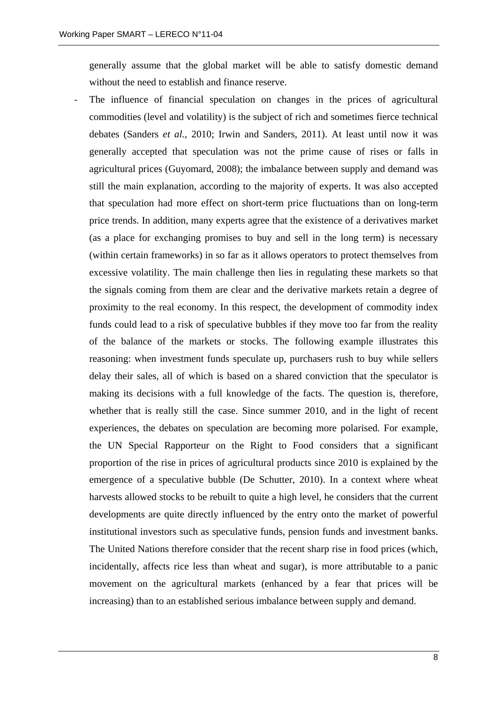generally assume that the global market will be able to satisfy domestic demand without the need to establish and finance reserve.

The influence of financial speculation on changes in the prices of agricultural commodities (level and volatility) is the subject of rich and sometimes fierce technical debates (Sanders *et al.*, 2010; Irwin and Sanders, 2011). At least until now it was generally accepted that speculation was not the prime cause of rises or falls in agricultural prices (Guyomard, 2008); the imbalance between supply and demand was still the main explanation, according to the majority of experts. It was also accepted that speculation had more effect on short-term price fluctuations than on long-term price trends. In addition, many experts agree that the existence of a derivatives market (as a place for exchanging promises to buy and sell in the long term) is necessary (within certain frameworks) in so far as it allows operators to protect themselves from excessive volatility. The main challenge then lies in regulating these markets so that the signals coming from them are clear and the derivative markets retain a degree of proximity to the real economy. In this respect, the development of commodity index funds could lead to a risk of speculative bubbles if they move too far from the reality of the balance of the markets or stocks. The following example illustrates this reasoning: when investment funds speculate up, purchasers rush to buy while sellers delay their sales, all of which is based on a shared conviction that the speculator is making its decisions with a full knowledge of the facts. The question is, therefore, whether that is really still the case. Since summer 2010, and in the light of recent experiences, the debates on speculation are becoming more polarised. For example, the UN Special Rapporteur on the Right to Food considers that a significant proportion of the rise in prices of agricultural products since 2010 is explained by the emergence of a speculative bubble (De Schutter, 2010). In a context where wheat harvests allowed stocks to be rebuilt to quite a high level, he considers that the current developments are quite directly influenced by the entry onto the market of powerful institutional investors such as speculative funds, pension funds and investment banks. The United Nations therefore consider that the recent sharp rise in food prices (which, incidentally, affects rice less than wheat and sugar), is more attributable to a panic movement on the agricultural markets (enhanced by a fear that prices will be increasing) than to an established serious imbalance between supply and demand.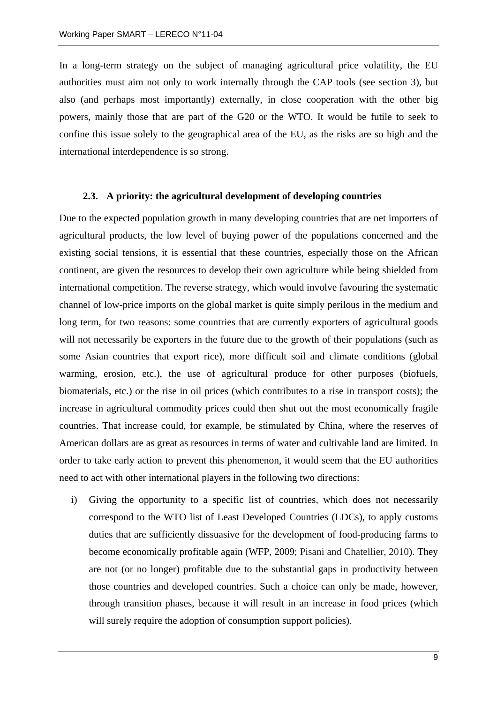In a long-term strategy on the subject of managing agricultural price volatility, the EU authorities must aim not only to work internally through the CAP tools (see section 3), but also (and perhaps most importantly) externally, in close cooperation with the other big powers, mainly those that are part of the G20 or the WTO. It would be futile to seek to confine this issue solely to the geographical area of the EU, as the risks are so high and the international interdependence is so strong.

#### **2.3. A priority: the agricultural development of developing countries**

Due to the expected population growth in many developing countries that are net importers of agricultural products, the low level of buying power of the populations concerned and the existing social tensions, it is essential that these countries, especially those on the African continent, are given the resources to develop their own agriculture while being shielded from international competition. The reverse strategy, which would involve favouring the systematic channel of low-price imports on the global market is quite simply perilous in the medium and long term, for two reasons: some countries that are currently exporters of agricultural goods will not necessarily be exporters in the future due to the growth of their populations (such as some Asian countries that export rice), more difficult soil and climate conditions (global warming, erosion, etc.), the use of agricultural produce for other purposes (biofuels, biomaterials, etc.) or the rise in oil prices (which contributes to a rise in transport costs); the increase in agricultural commodity prices could then shut out the most economically fragile countries. That increase could, for example, be stimulated by China, where the reserves of American dollars are as great as resources in terms of water and cultivable land are limited. In order to take early action to prevent this phenomenon, it would seem that the EU authorities need to act with other international players in the following two directions:

i) Giving the opportunity to a specific list of countries, which does not necessarily correspond to the WTO list of Least Developed Countries (LDCs), to apply customs duties that are sufficiently dissuasive for the development of food-producing farms to become economically profitable again (WFP, 2009; Pisani and Chatellier, 2010). They are not (or no longer) profitable due to the substantial gaps in productivity between those countries and developed countries. Such a choice can only be made, however, through transition phases, because it will result in an increase in food prices (which will surely require the adoption of consumption support policies).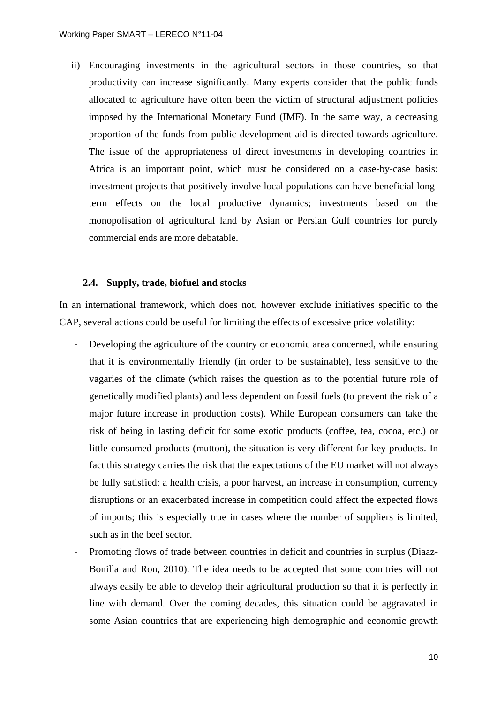ii) Encouraging investments in the agricultural sectors in those countries, so that productivity can increase significantly. Many experts consider that the public funds allocated to agriculture have often been the victim of structural adjustment policies imposed by the International Monetary Fund (IMF). In the same way, a decreasing proportion of the funds from public development aid is directed towards agriculture. The issue of the appropriateness of direct investments in developing countries in Africa is an important point, which must be considered on a case-by-case basis: investment projects that positively involve local populations can have beneficial longterm effects on the local productive dynamics; investments based on the monopolisation of agricultural land by Asian or Persian Gulf countries for purely commercial ends are more debatable.

#### **2.4. Supply, trade, biofuel and stocks**

In an international framework, which does not, however exclude initiatives specific to the CAP, several actions could be useful for limiting the effects of excessive price volatility:

- Developing the agriculture of the country or economic area concerned, while ensuring that it is environmentally friendly (in order to be sustainable), less sensitive to the vagaries of the climate (which raises the question as to the potential future role of genetically modified plants) and less dependent on fossil fuels (to prevent the risk of a major future increase in production costs). While European consumers can take the risk of being in lasting deficit for some exotic products (coffee, tea, cocoa, etc.) or little-consumed products (mutton), the situation is very different for key products. In fact this strategy carries the risk that the expectations of the EU market will not always be fully satisfied: a health crisis, a poor harvest, an increase in consumption, currency disruptions or an exacerbated increase in competition could affect the expected flows of imports; this is especially true in cases where the number of suppliers is limited, such as in the beef sector.
- Promoting flows of trade between countries in deficit and countries in surplus (Diaaz-Bonilla and Ron, 2010). The idea needs to be accepted that some countries will not always easily be able to develop their agricultural production so that it is perfectly in line with demand. Over the coming decades, this situation could be aggravated in some Asian countries that are experiencing high demographic and economic growth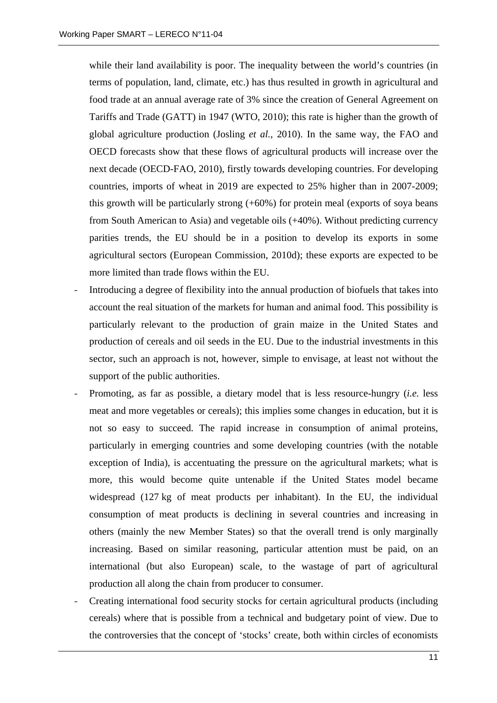while their land availability is poor. The inequality between the world's countries (in terms of population, land, climate, etc.) has thus resulted in growth in agricultural and food trade at an annual average rate of 3% since the creation of General Agreement on Tariffs and Trade (GATT) in 1947 (WTO, 2010); this rate is higher than the growth of global agriculture production (Josling *et al.*, 2010). In the same way, the FAO and OECD forecasts show that these flows of agricultural products will increase over the next decade (OECD-FAO, 2010), firstly towards developing countries. For developing countries, imports of wheat in 2019 are expected to 25% higher than in 2007-2009; this growth will be particularly strong (+60%) for protein meal (exports of soya beans from South American to Asia) and vegetable oils (+40%). Without predicting currency parities trends, the EU should be in a position to develop its exports in some agricultural sectors (European Commission, 2010d); these exports are expected to be more limited than trade flows within the EU.

- Introducing a degree of flexibility into the annual production of biofuels that takes into account the real situation of the markets for human and animal food. This possibility is particularly relevant to the production of grain maize in the United States and production of cereals and oil seeds in the EU. Due to the industrial investments in this sector, such an approach is not, however, simple to envisage, at least not without the support of the public authorities.
- Promoting, as far as possible, a dietary model that is less resource-hungry (*i.e.* less meat and more vegetables or cereals); this implies some changes in education, but it is not so easy to succeed. The rapid increase in consumption of animal proteins, particularly in emerging countries and some developing countries (with the notable exception of India), is accentuating the pressure on the agricultural markets; what is more, this would become quite untenable if the United States model became widespread (127 kg of meat products per inhabitant). In the EU, the individual consumption of meat products is declining in several countries and increasing in others (mainly the new Member States) so that the overall trend is only marginally increasing. Based on similar reasoning, particular attention must be paid, on an international (but also European) scale, to the wastage of part of agricultural production all along the chain from producer to consumer.
- Creating international food security stocks for certain agricultural products (including cereals) where that is possible from a technical and budgetary point of view. Due to the controversies that the concept of 'stocks' create, both within circles of economists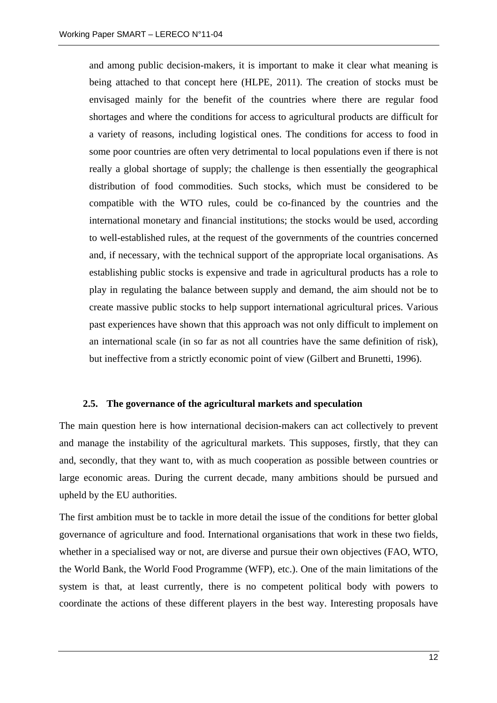and among public decision-makers, it is important to make it clear what meaning is being attached to that concept here (HLPE, 2011). The creation of stocks must be envisaged mainly for the benefit of the countries where there are regular food shortages and where the conditions for access to agricultural products are difficult for a variety of reasons, including logistical ones. The conditions for access to food in some poor countries are often very detrimental to local populations even if there is not really a global shortage of supply; the challenge is then essentially the geographical distribution of food commodities. Such stocks, which must be considered to be compatible with the WTO rules, could be co-financed by the countries and the international monetary and financial institutions; the stocks would be used, according to well-established rules, at the request of the governments of the countries concerned and, if necessary, with the technical support of the appropriate local organisations. As establishing public stocks is expensive and trade in agricultural products has a role to play in regulating the balance between supply and demand, the aim should not be to create massive public stocks to help support international agricultural prices. Various past experiences have shown that this approach was not only difficult to implement on an international scale (in so far as not all countries have the same definition of risk), but ineffective from a strictly economic point of view (Gilbert and Brunetti, 1996).

#### **2.5. The governance of the agricultural markets and speculation**

The main question here is how international decision-makers can act collectively to prevent and manage the instability of the agricultural markets. This supposes, firstly, that they can and, secondly, that they want to, with as much cooperation as possible between countries or large economic areas. During the current decade, many ambitions should be pursued and upheld by the EU authorities.

The first ambition must be to tackle in more detail the issue of the conditions for better global governance of agriculture and food. International organisations that work in these two fields, whether in a specialised way or not, are diverse and pursue their own objectives (FAO, WTO, the World Bank, the World Food Programme (WFP), etc.). One of the main limitations of the system is that, at least currently, there is no competent political body with powers to coordinate the actions of these different players in the best way. Interesting proposals have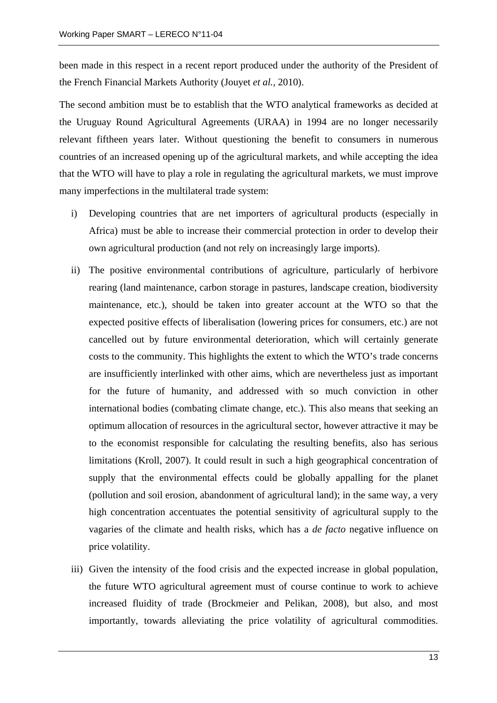been made in this respect in a recent report produced under the authority of the President of the French Financial Markets Authority (Jouyet *et al.*, 2010).

The second ambition must be to establish that the WTO analytical frameworks as decided at the Uruguay Round Agricultural Agreements (URAA) in 1994 are no longer necessarily relevant fiftheen years later. Without questioning the benefit to consumers in numerous countries of an increased opening up of the agricultural markets, and while accepting the idea that the WTO will have to play a role in regulating the agricultural markets, we must improve many imperfections in the multilateral trade system:

- i) Developing countries that are net importers of agricultural products (especially in Africa) must be able to increase their commercial protection in order to develop their own agricultural production (and not rely on increasingly large imports).
- ii) The positive environmental contributions of agriculture, particularly of herbivore rearing (land maintenance, carbon storage in pastures, landscape creation, biodiversity maintenance, etc.), should be taken into greater account at the WTO so that the expected positive effects of liberalisation (lowering prices for consumers, etc.) are not cancelled out by future environmental deterioration, which will certainly generate costs to the community. This highlights the extent to which the WTO's trade concerns are insufficiently interlinked with other aims, which are nevertheless just as important for the future of humanity, and addressed with so much conviction in other international bodies (combating climate change, etc.). This also means that seeking an optimum allocation of resources in the agricultural sector, however attractive it may be to the economist responsible for calculating the resulting benefits, also has serious limitations (Kroll, 2007). It could result in such a high geographical concentration of supply that the environmental effects could be globally appalling for the planet (pollution and soil erosion, abandonment of agricultural land); in the same way, a very high concentration accentuates the potential sensitivity of agricultural supply to the vagaries of the climate and health risks, which has a *de facto* negative influence on price volatility.
- iii) Given the intensity of the food crisis and the expected increase in global population, the future WTO agricultural agreement must of course continue to work to achieve increased fluidity of trade (Brockmeier and Pelikan, 2008), but also, and most importantly, towards alleviating the price volatility of agricultural commodities.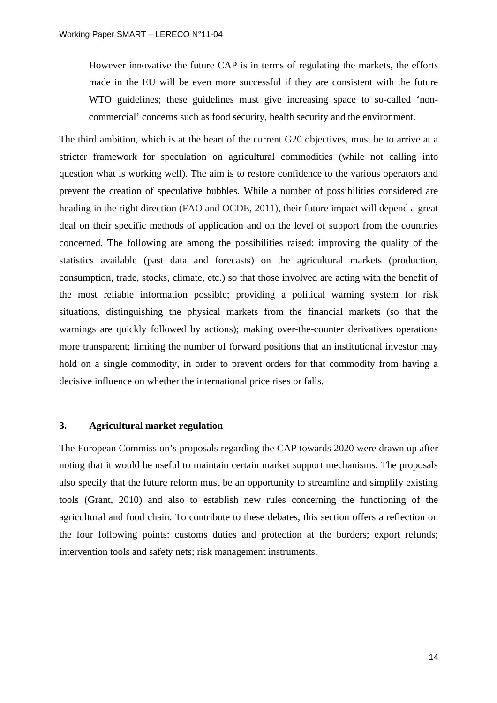However innovative the future CAP is in terms of regulating the markets, the efforts made in the EU will be even more successful if they are consistent with the future WTO guidelines; these guidelines must give increasing space to so-called 'noncommercial' concerns such as food security, health security and the environment.

The third ambition, which is at the heart of the current G20 objectives, must be to arrive at a stricter framework for speculation on agricultural commodities (while not calling into question what is working well). The aim is to restore confidence to the various operators and prevent the creation of speculative bubbles. While a number of possibilities considered are heading in the right direction (FAO and OCDE, 2011), their future impact will depend a great deal on their specific methods of application and on the level of support from the countries concerned. The following are among the possibilities raised: improving the quality of the statistics available (past data and forecasts) on the agricultural markets (production, consumption, trade, stocks, climate, etc.) so that those involved are acting with the benefit of the most reliable information possible; providing a political warning system for risk situations, distinguishing the physical markets from the financial markets (so that the warnings are quickly followed by actions); making over-the-counter derivatives operations more transparent; limiting the number of forward positions that an institutional investor may hold on a single commodity, in order to prevent orders for that commodity from having a decisive influence on whether the international price rises or falls.

#### **3. Agricultural market regulation**

The European Commission's proposals regarding the CAP towards 2020 were drawn up after noting that it would be useful to maintain certain market support mechanisms. The proposals also specify that the future reform must be an opportunity to streamline and simplify existing tools (Grant, 2010) and also to establish new rules concerning the functioning of the agricultural and food chain. To contribute to these debates, this section offers a reflection on the four following points: customs duties and protection at the borders; export refunds; intervention tools and safety nets; risk management instruments.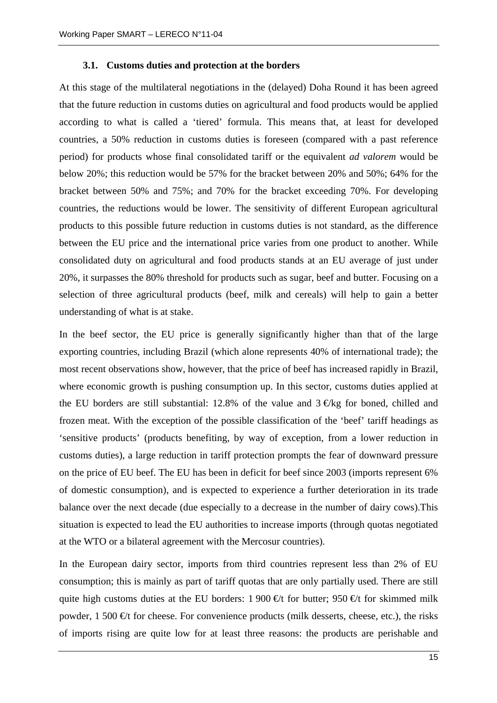#### **3.1. Customs duties and protection at the borders**

At this stage of the multilateral negotiations in the (delayed) Doha Round it has been agreed that the future reduction in customs duties on agricultural and food products would be applied according to what is called a 'tiered' formula. This means that, at least for developed countries, a 50% reduction in customs duties is foreseen (compared with a past reference period) for products whose final consolidated tariff or the equivalent *ad valorem* would be below 20%; this reduction would be 57% for the bracket between 20% and 50%; 64% for the bracket between 50% and 75%; and 70% for the bracket exceeding 70%. For developing countries, the reductions would be lower. The sensitivity of different European agricultural products to this possible future reduction in customs duties is not standard, as the difference between the EU price and the international price varies from one product to another. While consolidated duty on agricultural and food products stands at an EU average of just under 20%, it surpasses the 80% threshold for products such as sugar, beef and butter. Focusing on a selection of three agricultural products (beef, milk and cereals) will help to gain a better understanding of what is at stake.

In the beef sector, the EU price is generally significantly higher than that of the large exporting countries, including Brazil (which alone represents 40% of international trade); the most recent observations show, however, that the price of beef has increased rapidly in Brazil, where economic growth is pushing consumption up. In this sector, customs duties applied at the EU borders are still substantial: 12.8% of the value and  $3 \in \text{Kg}$  for boned, chilled and frozen meat. With the exception of the possible classification of the 'beef' tariff headings as 'sensitive products' (products benefiting, by way of exception, from a lower reduction in customs duties), a large reduction in tariff protection prompts the fear of downward pressure on the price of EU beef. The EU has been in deficit for beef since 2003 (imports represent 6% of domestic consumption), and is expected to experience a further deterioration in its trade balance over the next decade (due especially to a decrease in the number of dairy cows).This situation is expected to lead the EU authorities to increase imports (through quotas negotiated at the WTO or a bilateral agreement with the Mercosur countries).

In the European dairy sector, imports from third countries represent less than 2% of EU consumption; this is mainly as part of tariff quotas that are only partially used. There are still quite high customs duties at the EU borders: 1 900 €t for butter; 950 €t for skimmed milk powder,  $1\,500\,$  €t for cheese. For convenience products (milk desserts, cheese, etc.), the risks of imports rising are quite low for at least three reasons: the products are perishable and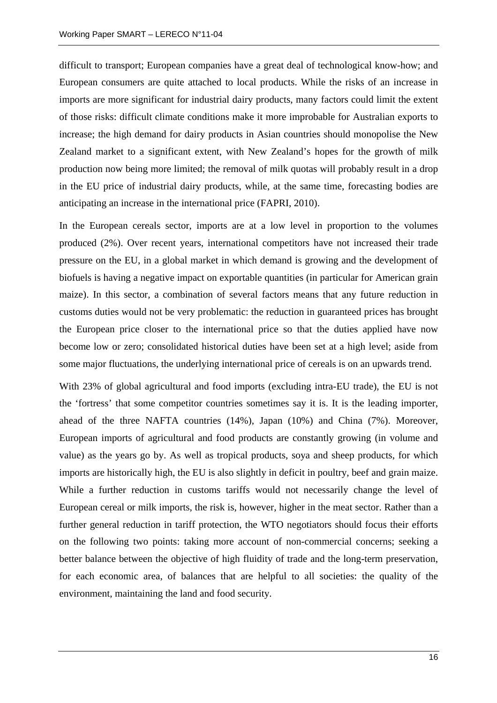difficult to transport; European companies have a great deal of technological know-how; and European consumers are quite attached to local products. While the risks of an increase in imports are more significant for industrial dairy products, many factors could limit the extent of those risks: difficult climate conditions make it more improbable for Australian exports to increase; the high demand for dairy products in Asian countries should monopolise the New Zealand market to a significant extent, with New Zealand's hopes for the growth of milk production now being more limited; the removal of milk quotas will probably result in a drop in the EU price of industrial dairy products, while, at the same time, forecasting bodies are anticipating an increase in the international price (FAPRI, 2010).

In the European cereals sector, imports are at a low level in proportion to the volumes produced (2%). Over recent years, international competitors have not increased their trade pressure on the EU, in a global market in which demand is growing and the development of biofuels is having a negative impact on exportable quantities (in particular for American grain maize). In this sector, a combination of several factors means that any future reduction in customs duties would not be very problematic: the reduction in guaranteed prices has brought the European price closer to the international price so that the duties applied have now become low or zero; consolidated historical duties have been set at a high level; aside from some major fluctuations, the underlying international price of cereals is on an upwards trend.

With 23% of global agricultural and food imports (excluding intra-EU trade), the EU is not the 'fortress' that some competitor countries sometimes say it is. It is the leading importer, ahead of the three NAFTA countries (14%), Japan (10%) and China (7%). Moreover, European imports of agricultural and food products are constantly growing (in volume and value) as the years go by. As well as tropical products, soya and sheep products, for which imports are historically high, the EU is also slightly in deficit in poultry, beef and grain maize. While a further reduction in customs tariffs would not necessarily change the level of European cereal or milk imports, the risk is, however, higher in the meat sector. Rather than a further general reduction in tariff protection, the WTO negotiators should focus their efforts on the following two points: taking more account of non-commercial concerns; seeking a better balance between the objective of high fluidity of trade and the long-term preservation, for each economic area, of balances that are helpful to all societies: the quality of the environment, maintaining the land and food security.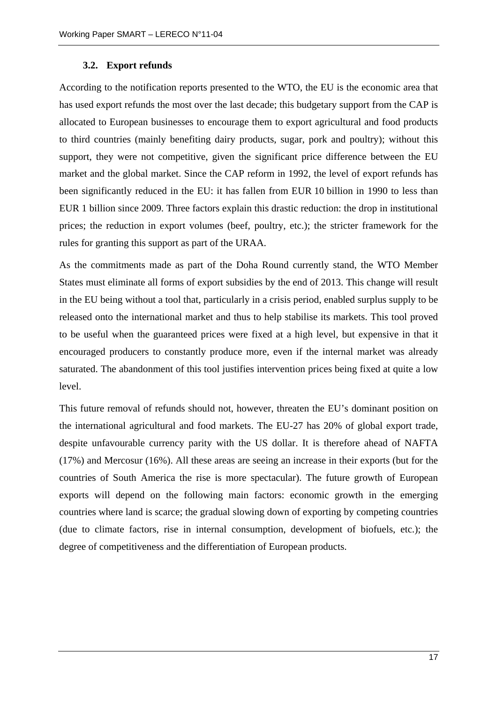#### **3.2. Export refunds**

According to the notification reports presented to the WTO, the EU is the economic area that has used export refunds the most over the last decade; this budgetary support from the CAP is allocated to European businesses to encourage them to export agricultural and food products to third countries (mainly benefiting dairy products, sugar, pork and poultry); without this support, they were not competitive, given the significant price difference between the EU market and the global market. Since the CAP reform in 1992, the level of export refunds has been significantly reduced in the EU: it has fallen from EUR 10 billion in 1990 to less than EUR 1 billion since 2009. Three factors explain this drastic reduction: the drop in institutional prices; the reduction in export volumes (beef, poultry, etc.); the stricter framework for the rules for granting this support as part of the URAA.

As the commitments made as part of the Doha Round currently stand, the WTO Member States must eliminate all forms of export subsidies by the end of 2013. This change will result in the EU being without a tool that, particularly in a crisis period, enabled surplus supply to be released onto the international market and thus to help stabilise its markets. This tool proved to be useful when the guaranteed prices were fixed at a high level, but expensive in that it encouraged producers to constantly produce more, even if the internal market was already saturated. The abandonment of this tool justifies intervention prices being fixed at quite a low level.

This future removal of refunds should not, however, threaten the EU's dominant position on the international agricultural and food markets. The EU-27 has 20% of global export trade, despite unfavourable currency parity with the US dollar. It is therefore ahead of NAFTA (17%) and Mercosur (16%). All these areas are seeing an increase in their exports (but for the countries of South America the rise is more spectacular). The future growth of European exports will depend on the following main factors: economic growth in the emerging countries where land is scarce; the gradual slowing down of exporting by competing countries (due to climate factors, rise in internal consumption, development of biofuels, etc.); the degree of competitiveness and the differentiation of European products.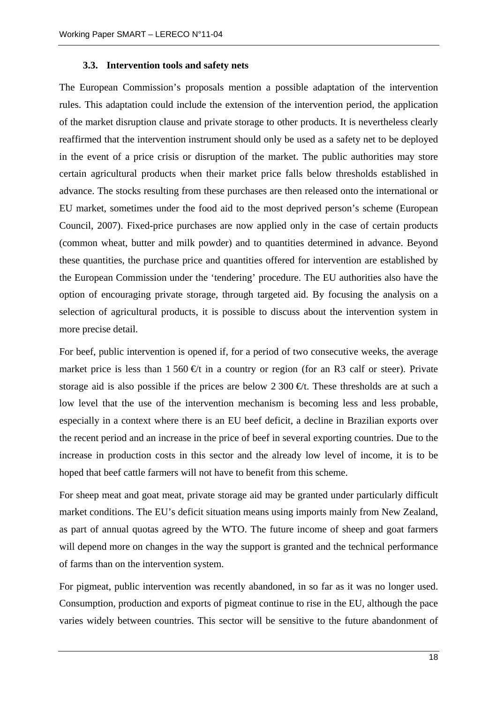#### **3.3. Intervention tools and safety nets**

The European Commission's proposals mention a possible adaptation of the intervention rules. This adaptation could include the extension of the intervention period, the application of the market disruption clause and private storage to other products. It is nevertheless clearly reaffirmed that the intervention instrument should only be used as a safety net to be deployed in the event of a price crisis or disruption of the market. The public authorities may store certain agricultural products when their market price falls below thresholds established in advance. The stocks resulting from these purchases are then released onto the international or EU market, sometimes under the food aid to the most deprived person's scheme (European Council, 2007). Fixed-price purchases are now applied only in the case of certain products (common wheat, butter and milk powder) and to quantities determined in advance. Beyond these quantities, the purchase price and quantities offered for intervention are established by the European Commission under the 'tendering' procedure. The EU authorities also have the option of encouraging private storage, through targeted aid. By focusing the analysis on a selection of agricultural products, it is possible to discuss about the intervention system in more precise detail.

For beef, public intervention is opened if, for a period of two consecutive weeks, the average market price is less than  $1\,560 \, \text{€}t$  in a country or region (for an R3 calf or steer). Private storage aid is also possible if the prices are below 2 300  $\oplus$ t. These thresholds are at such a low level that the use of the intervention mechanism is becoming less and less probable, especially in a context where there is an EU beef deficit, a decline in Brazilian exports over the recent period and an increase in the price of beef in several exporting countries. Due to the increase in production costs in this sector and the already low level of income, it is to be hoped that beef cattle farmers will not have to benefit from this scheme.

For sheep meat and goat meat, private storage aid may be granted under particularly difficult market conditions. The EU's deficit situation means using imports mainly from New Zealand, as part of annual quotas agreed by the WTO. The future income of sheep and goat farmers will depend more on changes in the way the support is granted and the technical performance of farms than on the intervention system.

For pigmeat, public intervention was recently abandoned, in so far as it was no longer used. Consumption, production and exports of pigmeat continue to rise in the EU, although the pace varies widely between countries. This sector will be sensitive to the future abandonment of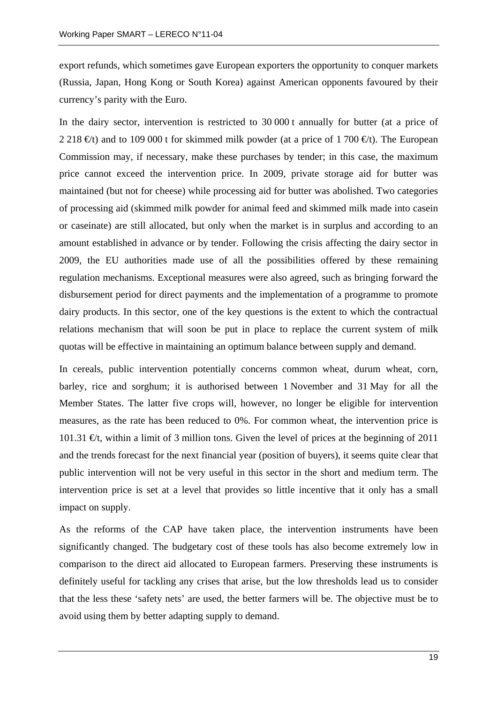export refunds, which sometimes gave European exporters the opportunity to conquer markets (Russia, Japan, Hong Kong or South Korea) against American opponents favoured by their currency's parity with the Euro.

In the dairy sector, intervention is restricted to 30 000 t annually for butter (at a price of 2 218  $\epsilon$ t) and to 109 000 t for skimmed milk powder (at a price of 1 700  $\epsilon$ t). The European Commission may, if necessary, make these purchases by tender; in this case, the maximum price cannot exceed the intervention price. In 2009, private storage aid for butter was maintained (but not for cheese) while processing aid for butter was abolished. Two categories of processing aid (skimmed milk powder for animal feed and skimmed milk made into casein or caseinate) are still allocated, but only when the market is in surplus and according to an amount established in advance or by tender. Following the crisis affecting the dairy sector in 2009, the EU authorities made use of all the possibilities offered by these remaining regulation mechanisms. Exceptional measures were also agreed, such as bringing forward the disbursement period for direct payments and the implementation of a programme to promote dairy products. In this sector, one of the key questions is the extent to which the contractual relations mechanism that will soon be put in place to replace the current system of milk quotas will be effective in maintaining an optimum balance between supply and demand.

In cereals, public intervention potentially concerns common wheat, durum wheat, corn, barley, rice and sorghum; it is authorised between 1 November and 31 May for all the Member States. The latter five crops will, however, no longer be eligible for intervention measures, as the rate has been reduced to 0%. For common wheat, the intervention price is 101.31  $\epsilon t$ , within a limit of 3 million tons. Given the level of prices at the beginning of 2011 and the trends forecast for the next financial year (position of buyers), it seems quite clear that public intervention will not be very useful in this sector in the short and medium term. The intervention price is set at a level that provides so little incentive that it only has a small impact on supply.

As the reforms of the CAP have taken place, the intervention instruments have been significantly changed. The budgetary cost of these tools has also become extremely low in comparison to the direct aid allocated to European farmers. Preserving these instruments is definitely useful for tackling any crises that arise, but the low thresholds lead us to consider that the less these 'safety nets' are used, the better farmers will be. The objective must be to avoid using them by better adapting supply to demand.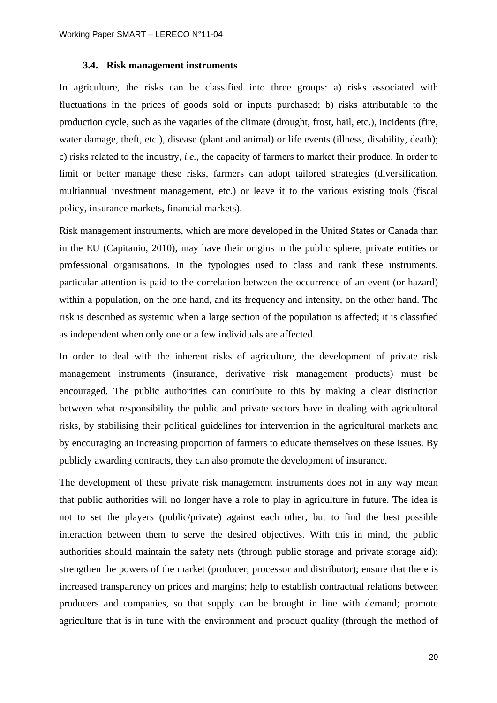#### **3.4. Risk management instruments**

In agriculture, the risks can be classified into three groups: a) risks associated with fluctuations in the prices of goods sold or inputs purchased; b) risks attributable to the production cycle, such as the vagaries of the climate (drought, frost, hail, etc.), incidents (fire, water damage, theft, etc.), disease (plant and animal) or life events (illness, disability, death); c) risks related to the industry, *i.e.*, the capacity of farmers to market their produce. In order to limit or better manage these risks, farmers can adopt tailored strategies (diversification, multiannual investment management, etc.) or leave it to the various existing tools (fiscal policy, insurance markets, financial markets).

Risk management instruments, which are more developed in the United States or Canada than in the EU (Capitanio, 2010), may have their origins in the public sphere, private entities or professional organisations. In the typologies used to class and rank these instruments, particular attention is paid to the correlation between the occurrence of an event (or hazard) within a population, on the one hand, and its frequency and intensity, on the other hand. The risk is described as systemic when a large section of the population is affected; it is classified as independent when only one or a few individuals are affected.

In order to deal with the inherent risks of agriculture, the development of private risk management instruments (insurance, derivative risk management products) must be encouraged. The public authorities can contribute to this by making a clear distinction between what responsibility the public and private sectors have in dealing with agricultural risks, by stabilising their political guidelines for intervention in the agricultural markets and by encouraging an increasing proportion of farmers to educate themselves on these issues. By publicly awarding contracts, they can also promote the development of insurance.

The development of these private risk management instruments does not in any way mean that public authorities will no longer have a role to play in agriculture in future. The idea is not to set the players (public/private) against each other, but to find the best possible interaction between them to serve the desired objectives. With this in mind, the public authorities should maintain the safety nets (through public storage and private storage aid); strengthen the powers of the market (producer, processor and distributor); ensure that there is increased transparency on prices and margins; help to establish contractual relations between producers and companies, so that supply can be brought in line with demand; promote agriculture that is in tune with the environment and product quality (through the method of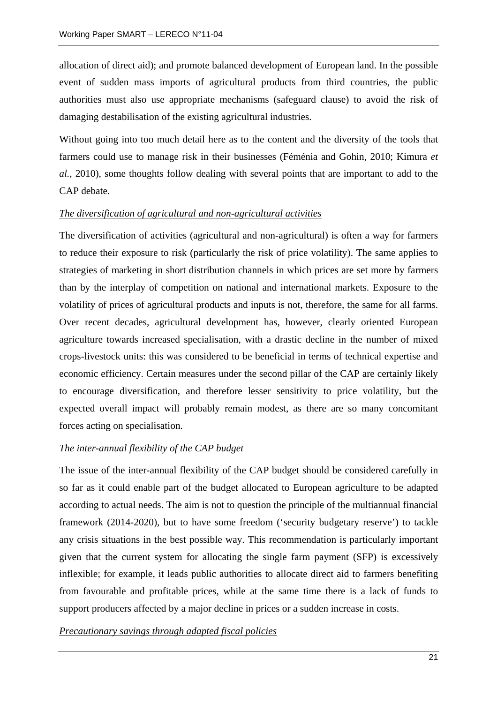allocation of direct aid); and promote balanced development of European land. In the possible event of sudden mass imports of agricultural products from third countries, the public authorities must also use appropriate mechanisms (safeguard clause) to avoid the risk of damaging destabilisation of the existing agricultural industries.

Without going into too much detail here as to the content and the diversity of the tools that farmers could use to manage risk in their businesses (Féménia and Gohin, 2010; Kimura *et al.*, 2010), some thoughts follow dealing with several points that are important to add to the CAP debate.

## *The diversification of agricultural and non-agricultural activities*

The diversification of activities (agricultural and non-agricultural) is often a way for farmers to reduce their exposure to risk (particularly the risk of price volatility). The same applies to strategies of marketing in short distribution channels in which prices are set more by farmers than by the interplay of competition on national and international markets. Exposure to the volatility of prices of agricultural products and inputs is not, therefore, the same for all farms. Over recent decades, agricultural development has, however, clearly oriented European agriculture towards increased specialisation, with a drastic decline in the number of mixed crops-livestock units: this was considered to be beneficial in terms of technical expertise and economic efficiency. Certain measures under the second pillar of the CAP are certainly likely to encourage diversification, and therefore lesser sensitivity to price volatility, but the expected overall impact will probably remain modest, as there are so many concomitant forces acting on specialisation.

# *The inter-annual flexibility of the CAP budget*

The issue of the inter-annual flexibility of the CAP budget should be considered carefully in so far as it could enable part of the budget allocated to European agriculture to be adapted according to actual needs. The aim is not to question the principle of the multiannual financial framework (2014-2020), but to have some freedom ('security budgetary reserve') to tackle any crisis situations in the best possible way. This recommendation is particularly important given that the current system for allocating the single farm payment (SFP) is excessively inflexible; for example, it leads public authorities to allocate direct aid to farmers benefiting from favourable and profitable prices, while at the same time there is a lack of funds to support producers affected by a major decline in prices or a sudden increase in costs.

*Precautionary savings through adapted fiscal policies*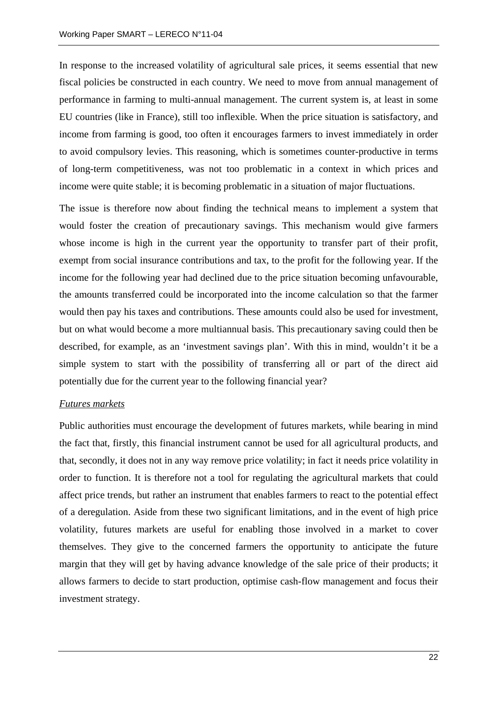In response to the increased volatility of agricultural sale prices, it seems essential that new fiscal policies be constructed in each country. We need to move from annual management of performance in farming to multi-annual management. The current system is, at least in some EU countries (like in France), still too inflexible. When the price situation is satisfactory, and income from farming is good, too often it encourages farmers to invest immediately in order to avoid compulsory levies. This reasoning, which is sometimes counter-productive in terms of long-term competitiveness, was not too problematic in a context in which prices and income were quite stable; it is becoming problematic in a situation of major fluctuations.

The issue is therefore now about finding the technical means to implement a system that would foster the creation of precautionary savings. This mechanism would give farmers whose income is high in the current year the opportunity to transfer part of their profit, exempt from social insurance contributions and tax, to the profit for the following year. If the income for the following year had declined due to the price situation becoming unfavourable, the amounts transferred could be incorporated into the income calculation so that the farmer would then pay his taxes and contributions. These amounts could also be used for investment, but on what would become a more multiannual basis. This precautionary saving could then be described, for example, as an 'investment savings plan'. With this in mind, wouldn't it be a simple system to start with the possibility of transferring all or part of the direct aid potentially due for the current year to the following financial year?

#### *Futures markets*

Public authorities must encourage the development of futures markets, while bearing in mind the fact that, firstly, this financial instrument cannot be used for all agricultural products, and that, secondly, it does not in any way remove price volatility; in fact it needs price volatility in order to function. It is therefore not a tool for regulating the agricultural markets that could affect price trends, but rather an instrument that enables farmers to react to the potential effect of a deregulation. Aside from these two significant limitations, and in the event of high price volatility, futures markets are useful for enabling those involved in a market to cover themselves. They give to the concerned farmers the opportunity to anticipate the future margin that they will get by having advance knowledge of the sale price of their products; it allows farmers to decide to start production, optimise cash-flow management and focus their investment strategy.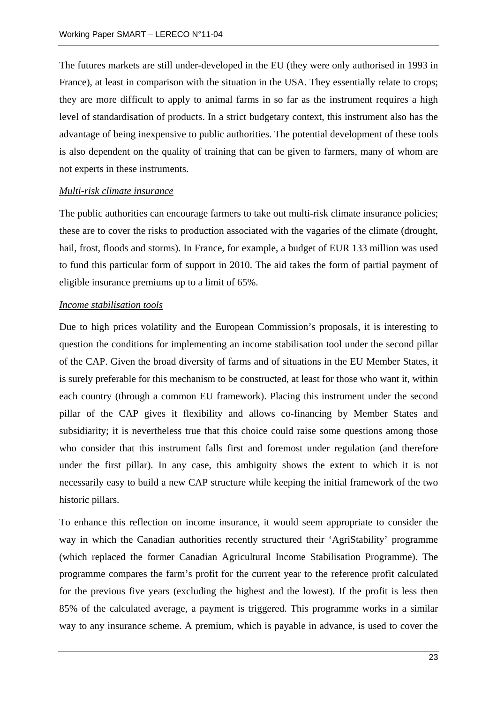The futures markets are still under-developed in the EU (they were only authorised in 1993 in France), at least in comparison with the situation in the USA. They essentially relate to crops; they are more difficult to apply to animal farms in so far as the instrument requires a high level of standardisation of products. In a strict budgetary context, this instrument also has the advantage of being inexpensive to public authorities. The potential development of these tools is also dependent on the quality of training that can be given to farmers, many of whom are not experts in these instruments.

#### *Multi-risk climate insurance*

The public authorities can encourage farmers to take out multi-risk climate insurance policies; these are to cover the risks to production associated with the vagaries of the climate (drought, hail, frost, floods and storms). In France, for example, a budget of EUR 133 million was used to fund this particular form of support in 2010. The aid takes the form of partial payment of eligible insurance premiums up to a limit of 65%.

#### *Income stabilisation tools*

Due to high prices volatility and the European Commission's proposals, it is interesting to question the conditions for implementing an income stabilisation tool under the second pillar of the CAP. Given the broad diversity of farms and of situations in the EU Member States, it is surely preferable for this mechanism to be constructed, at least for those who want it, within each country (through a common EU framework). Placing this instrument under the second pillar of the CAP gives it flexibility and allows co-financing by Member States and subsidiarity; it is nevertheless true that this choice could raise some questions among those who consider that this instrument falls first and foremost under regulation (and therefore under the first pillar). In any case, this ambiguity shows the extent to which it is not necessarily easy to build a new CAP structure while keeping the initial framework of the two historic pillars.

To enhance this reflection on income insurance, it would seem appropriate to consider the way in which the Canadian authorities recently structured their 'AgriStability' programme (which replaced the former Canadian Agricultural Income Stabilisation Programme). The programme compares the farm's profit for the current year to the reference profit calculated for the previous five years (excluding the highest and the lowest). If the profit is less then 85% of the calculated average, a payment is triggered. This programme works in a similar way to any insurance scheme. A premium, which is payable in advance, is used to cover the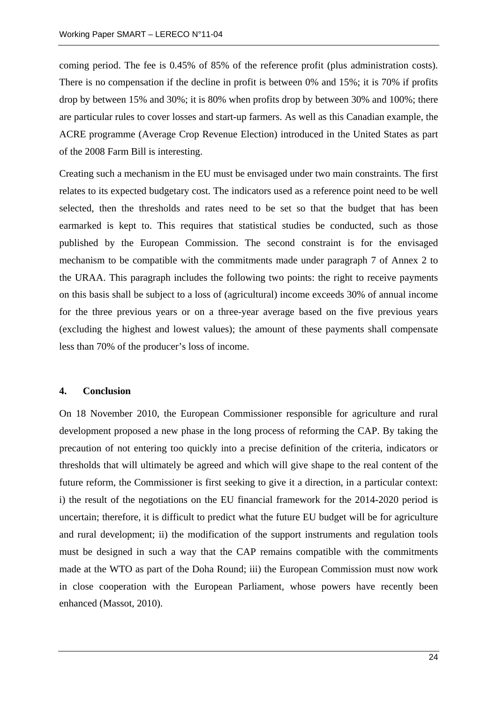coming period. The fee is 0.45% of 85% of the reference profit (plus administration costs). There is no compensation if the decline in profit is between 0% and 15%; it is 70% if profits drop by between 15% and 30%; it is 80% when profits drop by between 30% and 100%; there are particular rules to cover losses and start-up farmers. As well as this Canadian example, the ACRE programme (Average Crop Revenue Election) introduced in the United States as part of the 2008 Farm Bill is interesting.

Creating such a mechanism in the EU must be envisaged under two main constraints. The first relates to its expected budgetary cost. The indicators used as a reference point need to be well selected, then the thresholds and rates need to be set so that the budget that has been earmarked is kept to. This requires that statistical studies be conducted, such as those published by the European Commission. The second constraint is for the envisaged mechanism to be compatible with the commitments made under paragraph 7 of Annex 2 to the URAA. This paragraph includes the following two points: the right to receive payments on this basis shall be subject to a loss of (agricultural) income exceeds 30% of annual income for the three previous years or on a three-year average based on the five previous years (excluding the highest and lowest values); the amount of these payments shall compensate less than 70% of the producer's loss of income.

#### **4. Conclusion**

On 18 November 2010, the European Commissioner responsible for agriculture and rural development proposed a new phase in the long process of reforming the CAP. By taking the precaution of not entering too quickly into a precise definition of the criteria, indicators or thresholds that will ultimately be agreed and which will give shape to the real content of the future reform, the Commissioner is first seeking to give it a direction, in a particular context: i) the result of the negotiations on the EU financial framework for the 2014-2020 period is uncertain; therefore, it is difficult to predict what the future EU budget will be for agriculture and rural development; ii) the modification of the support instruments and regulation tools must be designed in such a way that the CAP remains compatible with the commitments made at the WTO as part of the Doha Round; iii) the European Commission must now work in close cooperation with the European Parliament, whose powers have recently been enhanced (Massot, 2010).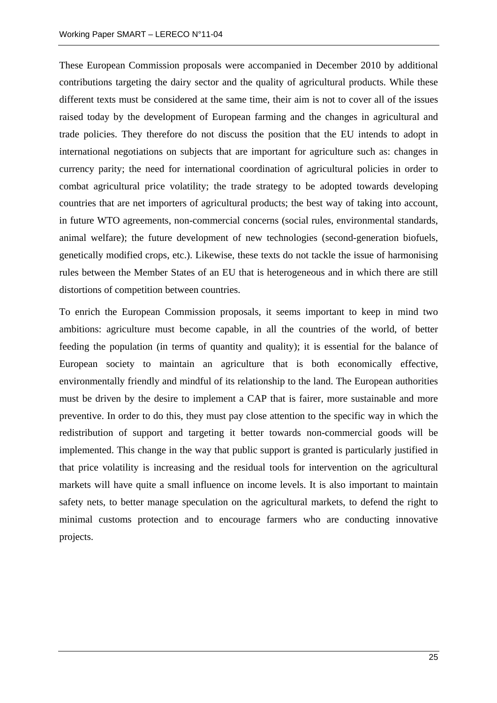These European Commission proposals were accompanied in December 2010 by additional contributions targeting the dairy sector and the quality of agricultural products. While these different texts must be considered at the same time, their aim is not to cover all of the issues raised today by the development of European farming and the changes in agricultural and trade policies. They therefore do not discuss the position that the EU intends to adopt in international negotiations on subjects that are important for agriculture such as: changes in currency parity; the need for international coordination of agricultural policies in order to combat agricultural price volatility; the trade strategy to be adopted towards developing countries that are net importers of agricultural products; the best way of taking into account, in future WTO agreements, non-commercial concerns (social rules, environmental standards, animal welfare); the future development of new technologies (second-generation biofuels, genetically modified crops, etc.). Likewise, these texts do not tackle the issue of harmonising rules between the Member States of an EU that is heterogeneous and in which there are still distortions of competition between countries.

To enrich the European Commission proposals, it seems important to keep in mind two ambitions: agriculture must become capable, in all the countries of the world, of better feeding the population (in terms of quantity and quality); it is essential for the balance of European society to maintain an agriculture that is both economically effective, environmentally friendly and mindful of its relationship to the land. The European authorities must be driven by the desire to implement a CAP that is fairer, more sustainable and more preventive. In order to do this, they must pay close attention to the specific way in which the redistribution of support and targeting it better towards non-commercial goods will be implemented. This change in the way that public support is granted is particularly justified in that price volatility is increasing and the residual tools for intervention on the agricultural markets will have quite a small influence on income levels. It is also important to maintain safety nets, to better manage speculation on the agricultural markets, to defend the right to minimal customs protection and to encourage farmers who are conducting innovative projects.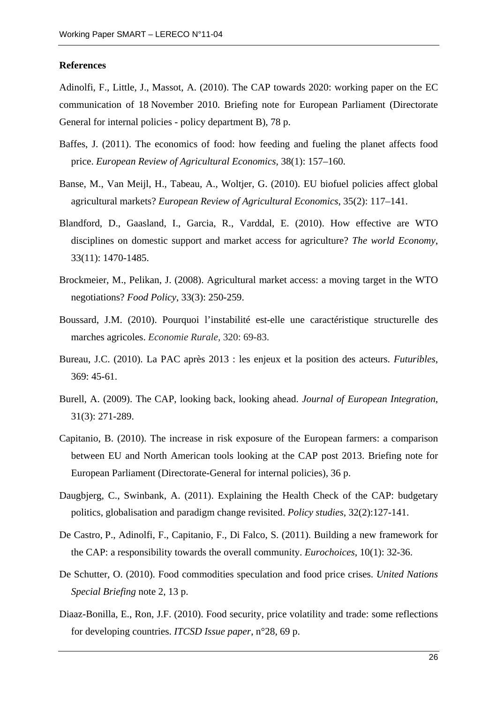#### **References**

Adinolfi, F., Little, J., Massot, A. (2010). The CAP towards 2020: working paper on the EC communication of 18 November 2010. Briefing note for European Parliament (Directorate General for internal policies - policy department B), 78 p.

- Baffes, J. (2011). The economics of food: how feeding and fueling the planet affects food price. *European Review of Agricultural Economics*, 38(1): 157–160.
- Banse, M., Van Meijl, H., Tabeau, A., Woltjer, G. (2010). EU biofuel policies affect global agricultural markets? *European Review of Agricultural Economics*, 35(2): 117–141.
- Blandford, D., Gaasland, I., Garcia, R., Varddal, E. (2010). How effective are WTO disciplines on domestic support and market access for agriculture? *The world Economy*, 33(11): 1470-1485.
- Brockmeier, M., Pelikan, J. (2008). Agricultural market access: a moving target in the WTO negotiations? *Food Policy*, 33(3): 250-259.
- Boussard, J.M. (2010). Pourquoi l'instabilité est-elle une caractéristique structurelle des marches agricoles. *Economie Rurale,* 320: 69-83.
- Bureau, J.C. (2010). La PAC après 2013 : les enjeux et la position des acteurs. *Futuribles*, 369: 45-61.
- Burell, A. (2009). The CAP, looking back, looking ahead. *Journal of European Integration*, 31(3): 271-289.
- Capitanio, B. (2010). The increase in risk exposure of the European farmers: a comparison between EU and North American tools looking at the CAP post 2013. Briefing note for European Parliament (Directorate-General for internal policies), 36 p.
- Daugbjerg, C., Swinbank, A. (2011). Explaining the Health Check of the CAP: budgetary politics, globalisation and paradigm change revisited. *Policy studies*, 32(2):127-141.
- De Castro, P., Adinolfi, F., Capitanio, F., Di Falco, S. (2011). Building a new framework for the CAP: a responsibility towards the overall community. *Eurochoices*, 10(1): 32-36.
- De Schutter, O. (2010). Food commodities speculation and food price crises. *United Nations Special Briefing* note 2, 13 p.
- Diaaz-Bonilla, E., Ron, J.F. (2010). Food security, price volatility and trade: some reflections for developing countries. *ITCSD Issue paper*, n°28, 69 p.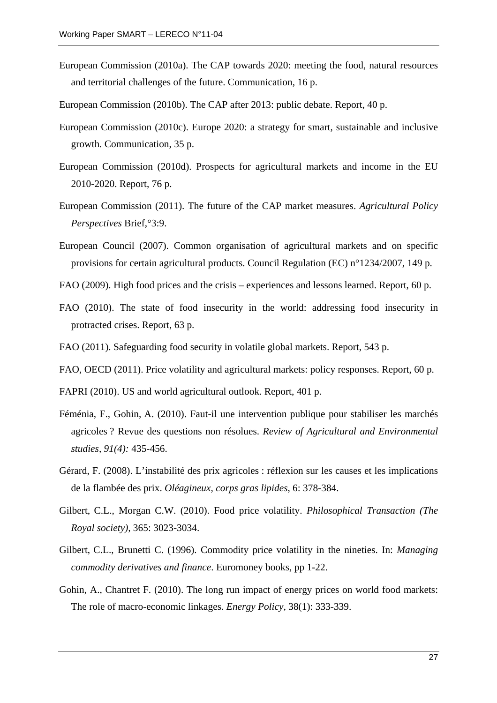- European Commission (2010a). The CAP towards 2020: meeting the food, natural resources and territorial challenges of the future. Communication, 16 p.
- European Commission (2010b). The CAP after 2013: public debate. Report, 40 p.
- European Commission (2010c). Europe 2020: a strategy for smart, sustainable and inclusive growth. Communication, 35 p.
- European Commission (2010d). Prospects for agricultural markets and income in the EU 2010-2020. Report, 76 p.
- European Commission (2011). The future of the CAP market measures. *Agricultural Policy Perspectives* Brief,°3:9.
- European Council (2007). Common organisation of agricultural markets and on specific provisions for certain agricultural products. Council Regulation (EC) n°1234/2007, 149 p.
- FAO (2009). High food prices and the crisis experiences and lessons learned. Report, 60 p.
- FAO (2010). The state of food insecurity in the world: addressing food insecurity in protracted crises. Report, 63 p.
- FAO (2011). Safeguarding food security in volatile global markets. Report, 543 p.
- FAO, OECD (2011). Price volatility and agricultural markets: policy responses. Report, 60 p.
- FAPRI (2010). US and world agricultural outlook. Report, 401 p.
- Féménia, F., Gohin, A. (2010). Faut-il une intervention publique pour stabiliser les marchés agricoles ? Revue des questions non résolues. *Review of Agricultural and Environmental studies, 91(4):* 435-456.
- Gérard, F. (2008). L'instabilité des prix agricoles : réflexion sur les causes et les implications de la flambée des prix. *Oléagineux, corps gras lipides*, 6: 378-384.
- Gilbert, C.L., Morgan C.W. (2010). Food price volatility. *Philosophical Transaction (The Royal society),* 365: 3023-3034.
- Gilbert, C.L., Brunetti C. (1996). Commodity price volatility in the nineties. In: *Managing commodity derivatives and finance*. Euromoney books, pp 1-22.
- Gohin, A., Chantret F. (2010). The long run impact of energy prices on world food markets: The role of macro-economic linkages. *Energy Policy,* 38(1): 333-339.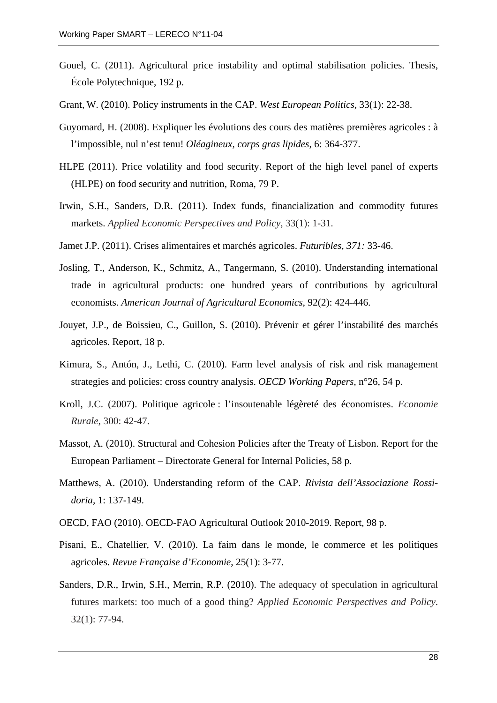- Gouel, C. (2011). Agricultural price instability and optimal stabilisation policies. Thesis, École Polytechnique, 192 p.
- Grant, W. (2010). Policy instruments in the CAP. *West European Politics,* 33(1): 22-38.
- Guyomard, H. (2008). Expliquer les évolutions des cours des matières premières agricoles : à l'impossible, nul n'est tenu! *Oléagineux, corps gras lipides*, 6: 364-377.
- HLPE (2011). Price volatility and food security. Report of the high level panel of experts (HLPE) on food security and nutrition, Roma, 79 P.
- Irwin, S.H., Sanders, D.R. (2011). Index funds, financialization and commodity futures markets. *Applied Economic Perspectives and Policy*, 33(1): 1-31.
- Jamet J.P. (2011). Crises alimentaires et marchés agricoles. *Futuribles, 371:* 33-46.
- Josling, T., Anderson, K., Schmitz, A., Tangermann, S. (2010). Understanding international trade in agricultural products: one hundred years of contributions by agricultural economists. *American Journal of Agricultural Economics*, 92(2): 424-446.
- Jouyet, J.P., de Boissieu, C., Guillon, S. (2010). Prévenir et gérer l'instabilité des marchés agricoles. Report, 18 p.
- Kimura, S., Antón, J., Lethi, C. (2010). Farm level analysis of risk and risk management strategies and policies: cross country analysis. *OECD Working Papers*, n°26, 54 p.
- Kroll, J.C. (2007). Politique agricole : l'insoutenable légèreté des économistes. *Economie Rurale,* 300: 42-47.
- Massot, A. (2010). Structural and Cohesion Policies after the Treaty of Lisbon. Report for the European Parliament – Directorate General for Internal Policies, 58 p.
- Matthews, A. (2010). Understanding reform of the CAP. *Rivista dell'Associazione Rossidoria,* 1: 137-149.
- OECD, FAO (2010). OECD-FAO Agricultural Outlook 2010-2019. Report, 98 p.
- Pisani, E., Chatellier, V. (2010). La faim dans le monde, le commerce et les politiques agricoles. *Revue Française d'Economie*, 25(1): 3-77.
- Sanders, D.R., Irwin, S.H., Merrin, R.P. (2010). The adequacy of speculation in agricultural futures markets: too much of a good thing? *Applied Economic Perspectives and Policy*. 32(1): 77-94.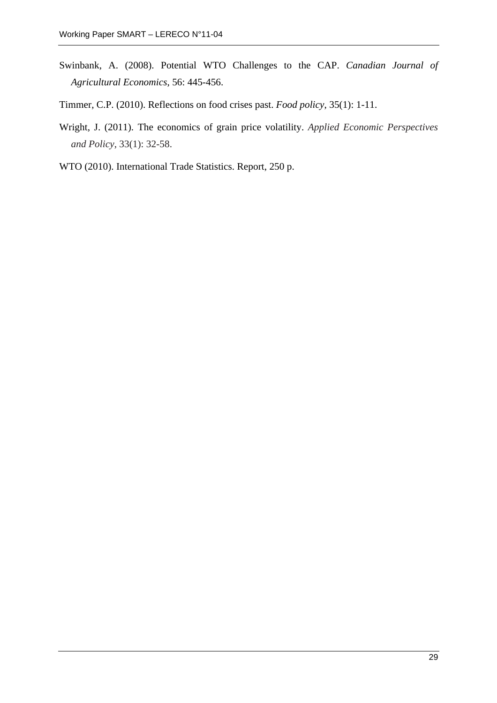- Swinbank, A. (2008). Potential WTO Challenges to the CAP. *Canadian Journal of Agricultural Economics*, 56: 445-456.
- Timmer, C.P. (2010). Reflections on food crises past. *Food policy*, 35(1): 1-11.
- Wright, J. (2011). The economics of grain price volatility. *Applied Economic Perspectives and Policy*, 33(1): 32-58.
- WTO (2010). International Trade Statistics. Report, 250 p.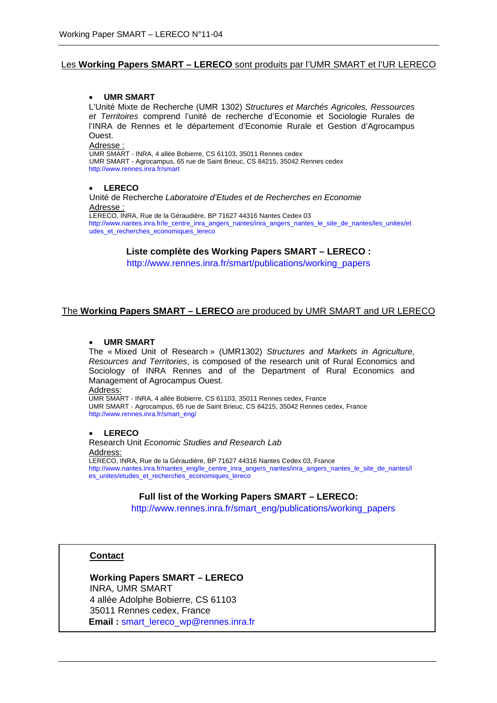#### Les **Working Papers SMART – LERECO** sont produits par l'UMR SMART et l'UR LERECO

#### • **UMR SMART**

L'Unité Mixte de Recherche (UMR 1302) *Structures et Marchés Agricoles, Ressources et Territoires* comprend l'unité de recherche d'Economie et Sociologie Rurales de l'INRA de Rennes et le département d'Economie Rurale et Gestion d'Agrocampus Ouest.

Adresse :

UMR SMART - INRA, 4 allée Bobierre, CS 61103, 35011 Rennes cedex UMR SMART - Agrocampus, 65 rue de Saint Brieuc, CS 84215, 35042 Rennes cedex <http://www.rennes.inra.fr/smart>

#### • **LERECO**

Unité de Recherche *Laboratoire d'Etudes et de Recherches en Economie* Adresse : LERECO, INRA, Rue de la Géraudière, BP 71627 44316 Nantes Cedex 03

[http://www.nantes.inra.fr/le\\_centre\\_inra\\_angers\\_nantes/inra\\_angers\\_nantes\\_le\\_site\\_de\\_nantes/les\\_unites/et](http://www.nantes.inra.fr/le_centre_inra_angers_nantes/inra_angers_nantes_le_site_de_nantes/les_unites/etudes_et_recherches_economiques_lereco) [udes\\_et\\_recherches\\_economiques\\_lereco](http://www.nantes.inra.fr/le_centre_inra_angers_nantes/inra_angers_nantes_le_site_de_nantes/les_unites/etudes_et_recherches_economiques_lereco)

#### **Liste complète des Working Papers SMART – LERECO :**

http://www.rennes.inra.fr/smart/publications/working\_papers

#### The **Working Papers SMART – LERECO** are produced by UMR SMART and UR LERECO

#### • **UMR SMART**

The « Mixed Unit of Research » (UMR1302) *Structures and Markets in Agriculture, Resources and Territories*, is composed of the research unit of Rural Economics and Sociology of INRA Rennes and of the Department of Rural Economics and Management of Agrocampus Ouest.

Address:

UMR SMART - INRA, 4 allée Bobierre, CS 61103, 35011 Rennes cedex, France UMR SMART - Agrocampus, 65 rue de Saint Brieuc, CS 84215, 35042 Rennes cedex, France [http://www.rennes.inra.fr/smart\\_eng/](http://www.rennes.inra.fr/smart_eng/) 

#### • **LERECO**

Research Unit *Economic Studies and Research Lab* Address: LERECO, INRA, Rue de la Géraudière, BP 71627 44316 Nantes Cedex 03, France [http://www.nantes.inra.fr/nantes\\_eng/le\\_centre\\_inra\\_angers\\_nantes/inra\\_angers\\_nantes\\_le\\_site\\_de\\_nantes/l](http://www.nantes.inra.fr/nantes_eng/le_centre_inra_angers_nantes/inra_angers_nantes_le_site_de_nantes/les_unites/etudes_et_recherches_economiques_lereco) [es\\_unites/etudes\\_et\\_recherches\\_economiques\\_lereco](http://www.nantes.inra.fr/nantes_eng/le_centre_inra_angers_nantes/inra_angers_nantes_le_site_de_nantes/les_unites/etudes_et_recherches_economiques_lereco)

#### **Full list of the Working Papers SMART – LERECO:**

http://www.rennes.inra.fr/smart\_eng/publications/working\_papers

#### **Contact**

**Working Papers SMART – LERECO** INRA, UMR SMART 4 allée Adolphe Bobierre, CS 61103 35011 Rennes cedex, France **Email :** [smart\\_lereco\\_wp@rennes.inra.fr](mailto:smart_lereco_wp@rennes.inra.fr)